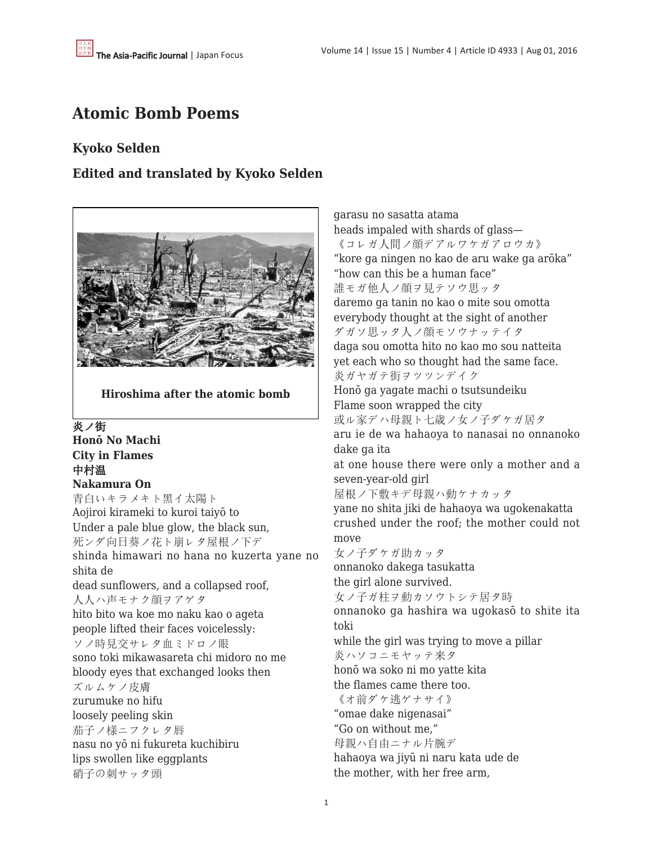# **Atomic Bomb Poems**

# **Kyoko Selden**

# **Edited and translated by Kyoko Selden**



**Hiroshima after the atomic bomb**

炎ノ街 **Honō No Machi City in Flames** 中村温 **Nakamura On** 青白いキラメキト黑イ太陽ト Aojiroi kirameki to kuroi taiyō to Under a pale blue glow, the black sun, 死ンダ向日葵ノ花ト崩レタ屋根ノ下デ shinda himawari no hana no kuzerta yane no shita de dead sunflowers, and a collapsed roof, 人人ハ声モナク顔ヲアゲタ hito bito wa koe mo naku kao o ageta people lifted their faces voicelessly: ソノ時見交サレタ血ミドロノ眼 sono toki mikawasareta chi midoro no me bloody eyes that exchanged looks then ズルムケノ皮膚 zurumuke no hifu loosely peeling skin 茄子ノ様ニフクレタ唇 nasu no yō ni fukureta kuchibiru lips swollen like eggplants 硝子の刺サッタ頭

garasu no sasatta atama heads impaled with shards of glass— 《コレガ人間ノ顔デアルワケガアロウカ》 "kore ga ningen no kao de aru wake ga arōka" "how can this be a human face" 誰モガ他人ノ顔ヲ見テソウ思ッタ daremo ga tanin no kao o mite sou omotta everybody thought at the sight of another ダガソ思ッタ人ノ顔モソウナッテイタ daga sou omotta hito no kao mo sou natteita yet each who so thought had the same face. 炎ガヤガテ街ヲツツンデイク Honō ga yagate machi o tsutsundeiku Flame soon wrapped the city 或ル家デハ母親ト七歳ノ女ノ子ダケガ居タ aru ie de wa hahaoya to nanasai no onnanoko dake ga ita at one house there were only a mother and a seven-year-old girl 屋根ノ下敷キデ母親ハ動ケナカッタ yane no shita jiki de hahaoya wa ugokenakatta crushed under the roof; the mother could not move 女ノ子ダケガ助カッタ onnanoko dakega tasukatta the girl alone survived. 女ノ子ガ柱ヲ動カソウトシテ居タ時 onnanoko ga hashira wa ugokasō to shite ita toki while the girl was trying to move a pillar 炎ハソコニモヤッテ来タ honō wa soko ni mo yatte kita the flames came there too. 《オ前ダケ逃ゲナサイ》 "omae dake nigenasai" "Go on without me," 母親ハ自由ニナル片腕デ hahaoya wa jiyū ni naru kata ude de the mother, with her free arm,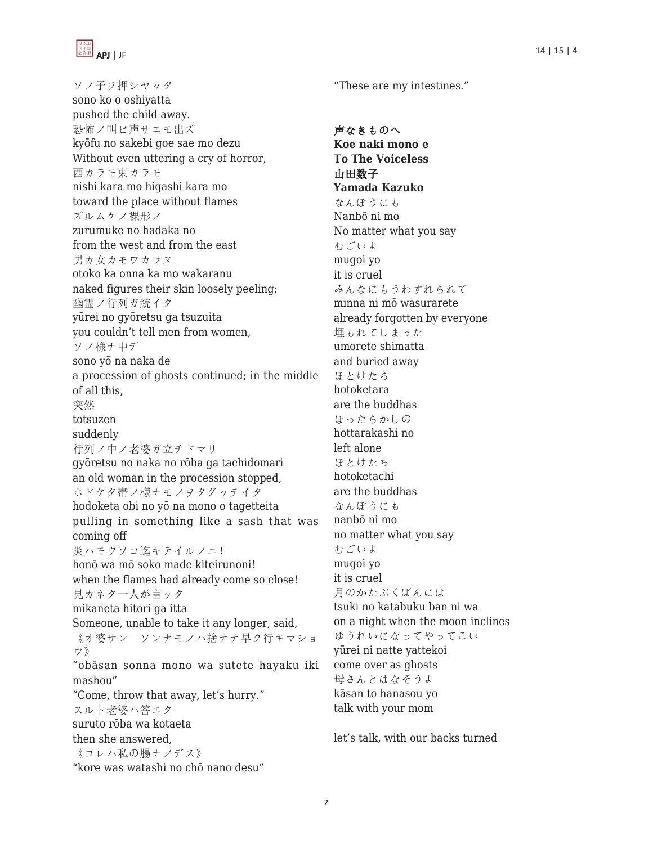

ソノ子ヲ押シヤッタ sono ko o oshiyatta pushed the child away. 恐怖ノ叫ビ声サエモ出ズ kyōfu no sakebi goe sae mo dezu Without even uttering a cry of horror, 西カラモ東カラモ nishi kara mo higashi kara mo toward the place without flames ズルムケノ裸形ノ zurumuke no hadaka no from the west and from the east 男カ女カモワカラヌ otoko ka onna ka mo wakaranu naked figures their skin loosely peeling: 幽霊ノ行列ガ続イタ yūrei no gyōretsu ga tsuzuita you couldn't tell men from women, ソノ様ナ中デ sono yō na naka de a procession of ghosts continued; in the middle of all this, 突然 totsuzen suddenly 行列ノ中ノ老婆ガ立チドマリ gyōretsu no naka no rōba ga tachidomari an old woman in the procession stopped, ホドケタ帯ノ様ナモノヲタグッテイタ hodoketa obi no yō na mono o tagetteita pulling in something like a sash that was coming off 炎ハモウソコ迄キテイルノニ! honō wa mō soko made kiteirunoni! when the flames had already come so close! 見カネタ一人が言ッタ mikaneta hitori ga itta Someone, unable to take it any longer, said, 《オ婆サン ソンナモノハ捨テテ早ク行キマショ ウ》 "obāsan sonna mono wa sutete hayaku iki mashou" "Come, throw that away, let's hurry." スルト老婆ハ答エタ suruto rōba wa kotaeta then she answered, 《コレハ私の腸ナノデス》

"kore was watashi no chō nano desu"

"These are my intestines."

声なきものへ **Koe naki mono e To The Voiceless** 山田数子 **Yamada Kazuko** なんぼうにも Nanbō ni mo No matter what you say むごいよ mugoi yo it is cruel みんなにもうわすれられて minna ni mō wasurarete already forgotten by everyone 埋もれてしまった umorete shimatta and buried away ほとけたら hotoketara are the buddhas ほったらかしの hottarakashi no left alone ほとけたち hotoketachi are the buddhas なんぼうにも nanbō ni mo no matter what you say むごいよ mugoi yo it is cruel 月のかたぶくばんには tsuki no katabuku ban ni wa on a night when the moon inclines ゆうれいになってやってこい yūrei ni natte yattekoi come over as ghosts 母さんとはなそうよ kāsan to hanasou yo talk with your mom

let's talk, with our backs turned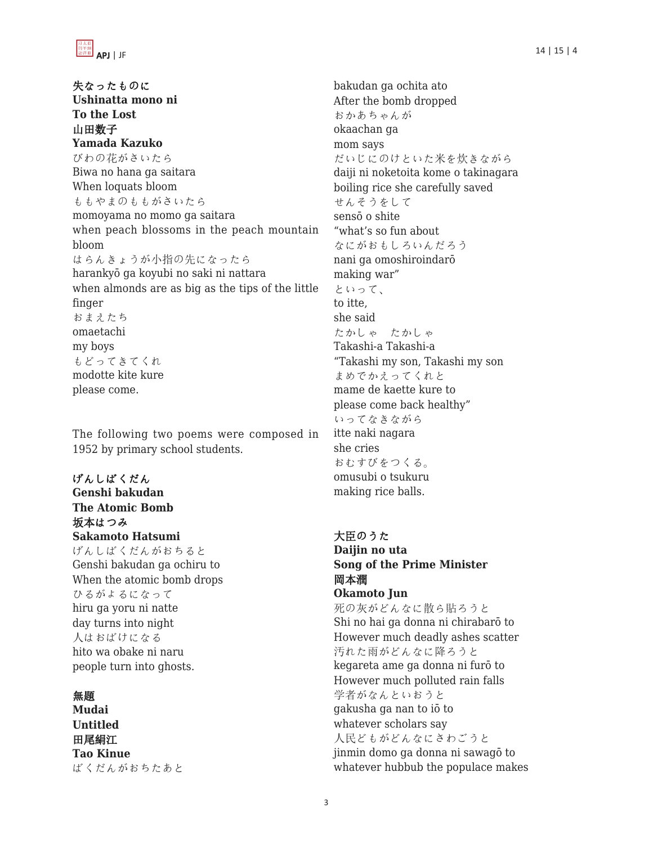失なったものに **Ushinatta mono ni To the Lost** 山田数子 **Yamada Kazuko** びわの花がさいたら Biwa no hana ga saitara When loquats bloom ももやまのももがさいたら momoyama no momo ga saitara when peach blossoms in the peach mountain bloom はらんきょうが小指の先になったら harankyō ga koyubi no saki ni nattara when almonds are as big as the tips of the little finger おまえたち omaetachi my boys もどってきてくれ modotte kite kure please come.

The following two poems were composed in 1952 by primary school students.

# げんしばくだん **Genshi bakudan The Atomic Bomb** 坂本はつみ **Sakamoto Hatsumi**

げんしばくだんがおちると Genshi bakudan ga ochiru to When the atomic bomb drops ひるがよるになって hiru ga yoru ni natte day turns into night 人はおばけになる hito wa obake ni naru people turn into ghosts.

# 無題

**Mudai Untitled** 田尾絹江 **Tao Kinue** ばくだんがおちたあと bakudan ga ochita ato After the bomb dropped おかあちゃんが okaachan ga mom says だいじにのけといた米を炊きながら daiji ni noketoita kome o takinagara boiling rice she carefully saved せんそうをして sensō o shite "what's so fun about なにがおもしろいんだろう nani ga omoshiroindarō making war" といって、 to itte, she said たかしゃ たかしゃ Takashi-a Takashi-a "Takashi my son, Takashi my son まめでかえってくれと mame de kaette kure to please come back healthy" いってなきながら itte naki nagara she cries おむすびをつくる。 omusubi o tsukuru making rice balls.

## 大臣のうた **Daijin no uta Song of the Prime Minister** 岡本潤 **Okamoto Jun**

死の灰がどんなに散ら貼ろうと Shi no hai ga donna ni chirabarō to However much deadly ashes scatter 汚れた雨がどんなに降ろうと kegareta ame ga donna ni furō to However much polluted rain falls 学者がなんといおうと gakusha ga nan to iō to whatever scholars say 人民どもがどんなにさわごうと jinmin domo ga donna ni sawagō to whatever hubbub the populace makes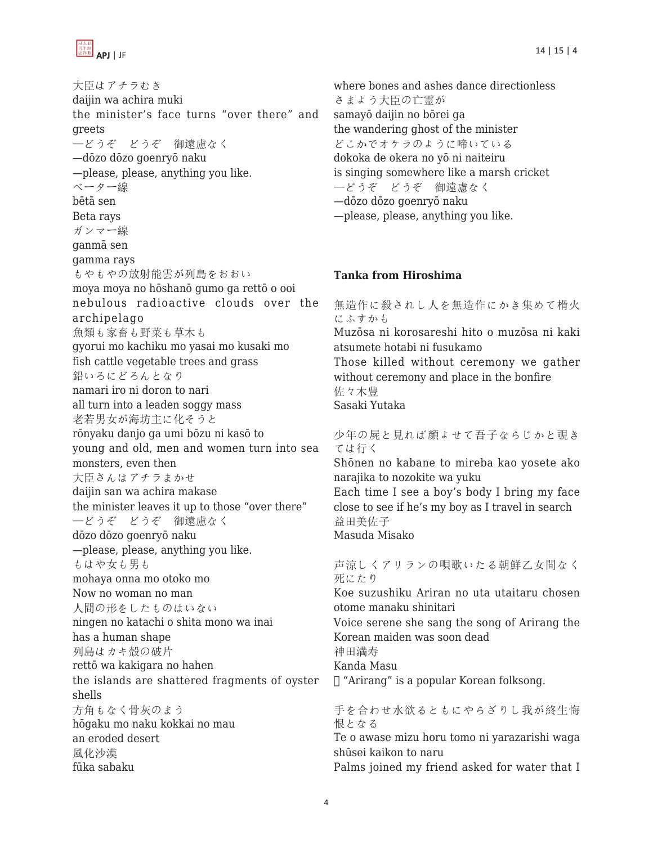

APJ | JF 14 | 15 | 4

大臣はアチラむき daijin wa achira muki the minister's face turns "over there" and greets —どうぞ どうぞ 御遠慮なく —dōzo dōzo goenryō naku —please, please, anything you like. ベーター線 bētā sen Beta rays ガンマー線 ganmā sen gamma rays もやもやの放射能雲が列島をおおい moya moya no hōshanō gumo ga rettō o ooi nebulous radioactive clouds over the archipelago 魚類も家畜も野菜も草木も gyorui mo kachiku mo yasai mo kusaki mo fish cattle vegetable trees and grass 鉛いろにどろんとなり namari iro ni doron to nari all turn into a leaden soggy mass 老若男女が海坊主に化そうと rōnyaku danjo ga umi bōzu ni kasō to young and old, men and women turn into sea monsters, even then 大臣さんはアチラまかせ daijin san wa achira makase the minister leaves it up to those "over there" —どうぞ どうぞ 御遠慮なく dōzo dōzo goenryō naku —please, please, anything you like. もはや女も男も mohaya onna mo otoko mo Now no woman no man 人間の形をしたものはいない ningen no katachi o shita mono wa inai has a human shape 列島はカキ殻の破片 rettō wa kakigara no hahen the islands are shattered fragments of oyster shells 方角もなく骨灰のまう hōgaku mo naku kokkai no mau an eroded desert 風化沙漠 fūka sabaku

where bones and ashes dance directionless さまよう大臣の亡霊が samayō daijin no bōrei ga the wandering ghost of the minister どこかでオケラのように啼いている dokoka de okera no yō ni naiteiru is singing somewhere like a marsh cricket —どうぞ どうぞ 御遠慮なく —dōzo dōzo goenryō naku —please, please, anything you like.

# **Tanka from Hiroshima**

無造作に殺されし人を無造作にかき集めて榾火 にふすかも Muzōsa ni korosareshi hito o muzōsa ni kaki atsumete hotabi ni fusukamo Those killed without ceremony we gather without ceremony and place in the bonfire 佐々木豊 Sasaki Yutaka 少年の屍と見れば顔よせて吾子ならじかと覗き ては行く Shōnen no kabane to mireba kao yosete ako narajika to nozokite wa yuku Each time I see a boy's body I bring my face close to see if he's my boy as I travel in search 益田美佐子

Masuda Misako

声涼しくアリランの唄歌いたる朝鮮乙女間なく 死にたり

Koe suzushiku Ariran no uta utaitaru chosen otome manaku shinitari

Voice serene she sang the song of Arirang the Korean maiden was soon dead

神田満寿

Kanda Masu

 $\Box$  "Arirang" is a popular Korean folksong.

手を合わせ水欲るともにやらざりし我が終生悔 恨となる Te o awase mizu horu tomo ni yarazarishi waga

shūsei kaikon to naru

Palms joined my friend asked for water that I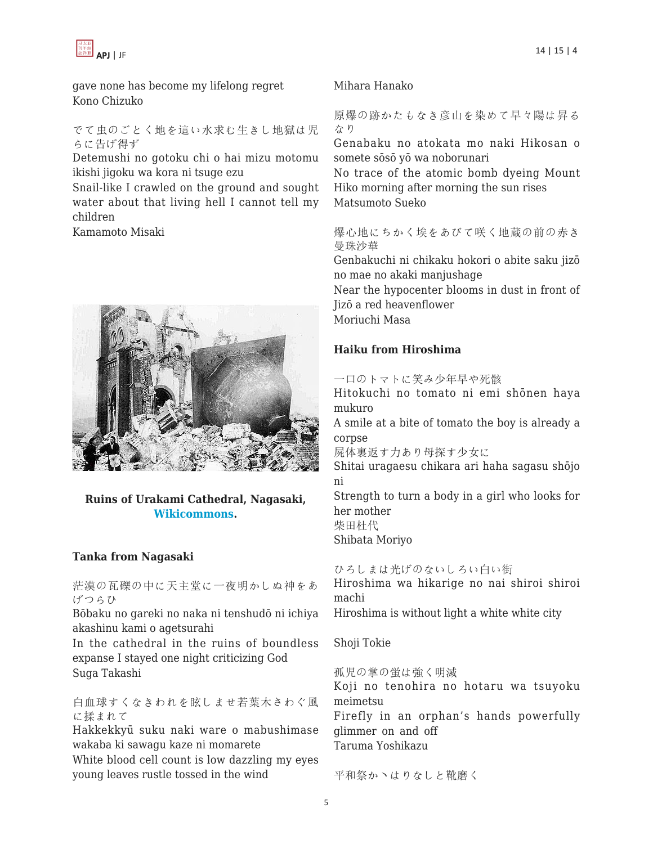

gave none has become my lifelong regret Kono Chizuko

#### でて虫のごとく地を這い水求む生きし地獄は児 らに告げ得ず

Detemushi no gotoku chi o hai mizu motomu ikishi jigoku wa kora ni tsuge ezu

Snail-like I crawled on the ground and sought water about that living hell I cannot tell my children

Kamamoto Misaki



## **Ruins of Urakami Cathedral, Nagasaki, [Wikicommons](https://en.wikipedia.org/wiki/Urakami_Cathedral#/media/File:UrakamiTenshudoJan1946.jpg).**

#### **Tanka from Nagasaki**

茫漠の瓦礫の中に天主堂に一夜明かしぬ神をあ げつらひ

Bōbaku no gareki no naka ni tenshudō ni ichiya akashinu kami o agetsurahi

In the cathedral in the ruins of boundless expanse I stayed one night criticizing God Suga Takashi

白血球すくなきわれを眩しませ若葉木さわぐ風 に揉まれて

Hakkekkyū suku naki ware o mabushimase wakaba ki sawagu kaze ni momarete

White blood cell count is low dazzling my eyes young leaves rustle tossed in the wind

#### Mihara Hanako

原爆の跡かたもなき彦山を染めて早々陽は昇る なり

Genabaku no atokata mo naki Hikosan o somete sōsō yō wa noborunari

No trace of the atomic bomb dyeing Mount Hiko morning after morning the sun rises Matsumoto Sueko

爆心地にちかく埃をあびて咲く地蔵の前の赤き 曼珠沙華

Genbakuchi ni chikaku hokori o abite saku jizō no mae no akaki manjushage

Near the hypocenter blooms in dust in front of Jizō a red heavenflower

Moriuchi Masa

## **Haiku from Hiroshima**

一口のトマトに笑み少年早や死骸

Hitokuchi no tomato ni emi shōnen haya mukuro

A smile at a bite of tomato the boy is already a corpse

屍体裏返す力あり母探す少女に

Shitai uragaesu chikara ari haha sagasu shōjo ni

Strength to turn a body in a girl who looks for her mother 柴田杜代

Shibata Moriyo

ひろしまは光げのないしろい白い街

Hiroshima wa hikarige no nai shiroi shiroi machi

Hiroshima is without light a white white city

Shoji Tokie

孤児の掌の蛍は強く明滅

Koji no tenohira no hotaru wa tsuyoku meimetsu

Firefly in an orphan's hands powerfully glimmer on and off Taruma Yoshikazu

平和祭かヽはりなしと靴磨く